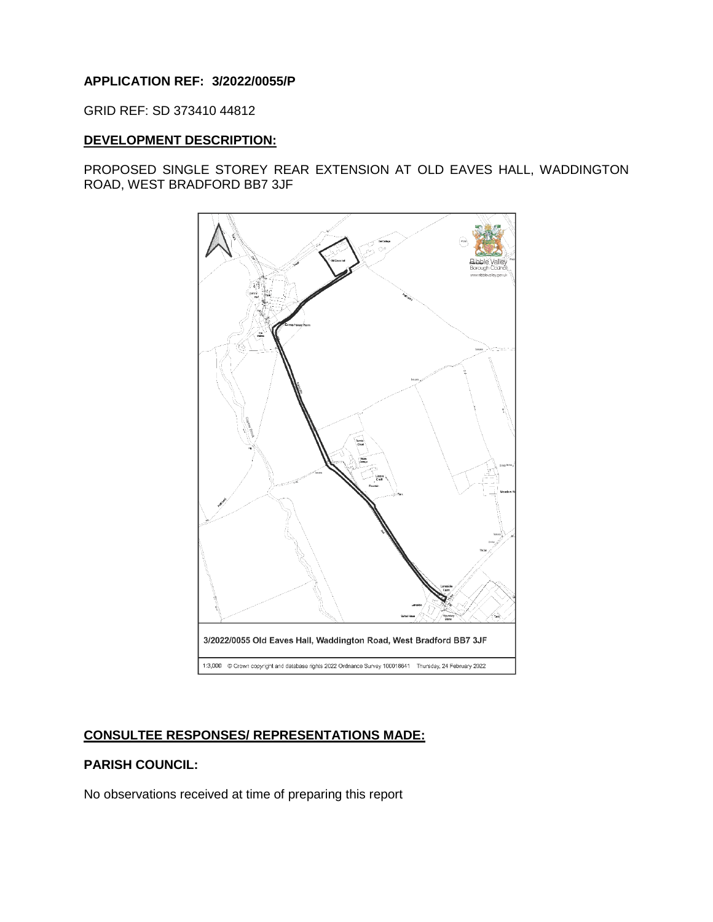# **APPLICATION REF: 3/2022/0055/P**

GRID REF: SD 373410 44812

## **DEVELOPMENT DESCRIPTION:**

PROPOSED SINGLE STOREY REAR EXTENSION AT OLD EAVES HALL, WADDINGTON ROAD, WEST BRADFORD BB7 3JF



# **CONSULTEE RESPONSES/ REPRESENTATIONS MADE:**

# **PARISH COUNCIL:**

No observations received at time of preparing this report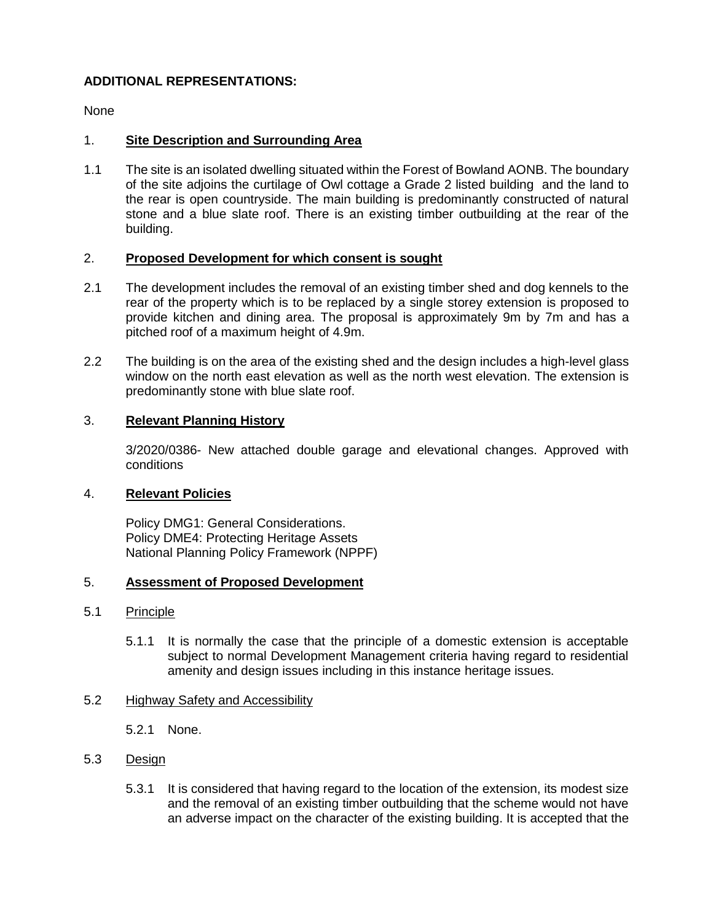# **ADDITIONAL REPRESENTATIONS:**

None

## 1. **Site Description and Surrounding Area**

1.1 The site is an isolated dwelling situated within the Forest of Bowland AONB. The boundary of the site adjoins the curtilage of Owl cottage a Grade 2 listed building and the land to the rear is open countryside. The main building is predominantly constructed of natural stone and a blue slate roof. There is an existing timber outbuilding at the rear of the building.

## 2. **Proposed Development for which consent is sought**

- 2.1 The development includes the removal of an existing timber shed and dog kennels to the rear of the property which is to be replaced by a single storey extension is proposed to provide kitchen and dining area. The proposal is approximately 9m by 7m and has a pitched roof of a maximum height of 4.9m.
- 2.2 The building is on the area of the existing shed and the design includes a high-level glass window on the north east elevation as well as the north west elevation. The extension is predominantly stone with blue slate roof.

### 3. **Relevant Planning History**

3/2020/0386- New attached double garage and elevational changes. Approved with conditions

### 4. **Relevant Policies**

Policy DMG1: General Considerations. Policy DME4: Protecting Heritage Assets National Planning Policy Framework (NPPF)

# 5. **Assessment of Proposed Development**

#### 5.1 Principle

5.1.1 It is normally the case that the principle of a domestic extension is acceptable subject to normal Development Management criteria having regard to residential amenity and design issues including in this instance heritage issues.

## 5.2 Highway Safety and Accessibility

5.2.1 None.

#### 5.3 Design

5.3.1 It is considered that having regard to the location of the extension, its modest size and the removal of an existing timber outbuilding that the scheme would not have an adverse impact on the character of the existing building. It is accepted that the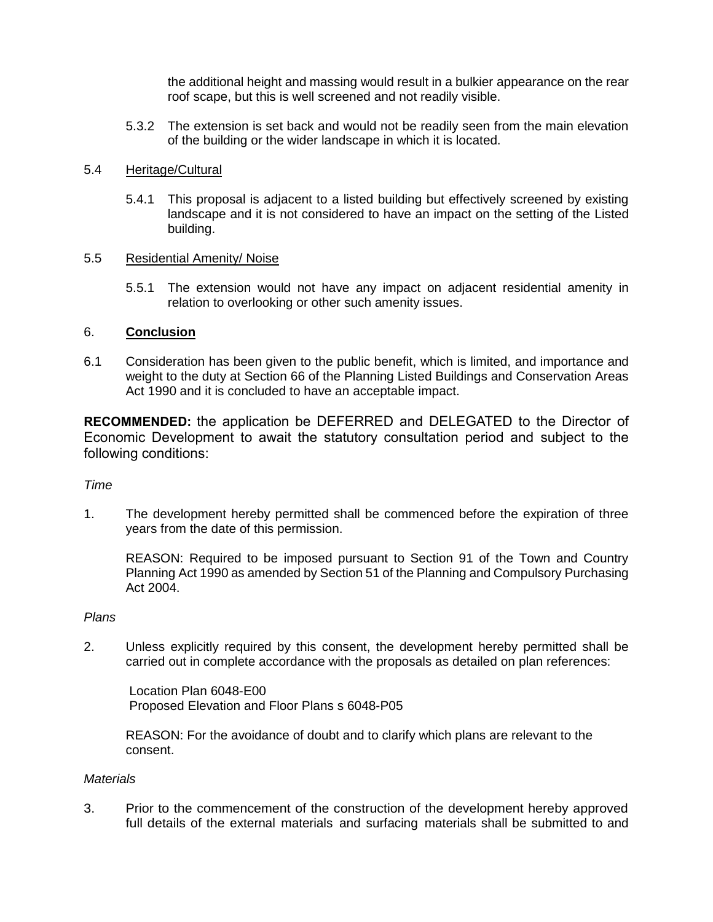the additional height and massing would result in a bulkier appearance on the rear roof scape, but this is well screened and not readily visible.

5.3.2 The extension is set back and would not be readily seen from the main elevation of the building or the wider landscape in which it is located.

#### 5.4 Heritage/Cultural

5.4.1 This proposal is adjacent to a listed building but effectively screened by existing landscape and it is not considered to have an impact on the setting of the Listed building.

### 5.5 Residential Amenity/ Noise

5.5.1 The extension would not have any impact on adjacent residential amenity in relation to overlooking or other such amenity issues.

### 6. **Conclusion**

6.1 Consideration has been given to the public benefit, which is limited, and importance and weight to the duty at Section 66 of the Planning Listed Buildings and Conservation Areas Act 1990 and it is concluded to have an acceptable impact.

**RECOMMENDED:** the application be DEFERRED and DELEGATED to the Director of Economic Development to await the statutory consultation period and subject to the following conditions:

#### *Time*

1. The development hereby permitted shall be commenced before the expiration of three years from the date of this permission.

REASON: Required to be imposed pursuant to Section 91 of the Town and Country Planning Act 1990 as amended by Section 51 of the Planning and Compulsory Purchasing Act 2004.

#### *Plans*

2. Unless explicitly required by this consent, the development hereby permitted shall be carried out in complete accordance with the proposals as detailed on plan references:

Location Plan 6048-E00 Proposed Elevation and Floor Plans s 6048-P05

REASON: For the avoidance of doubt and to clarify which plans are relevant to the consent.

#### *Materials*

3. Prior to the commencement of the construction of the development hereby approved full details of the external materials and surfacing materials shall be submitted to and